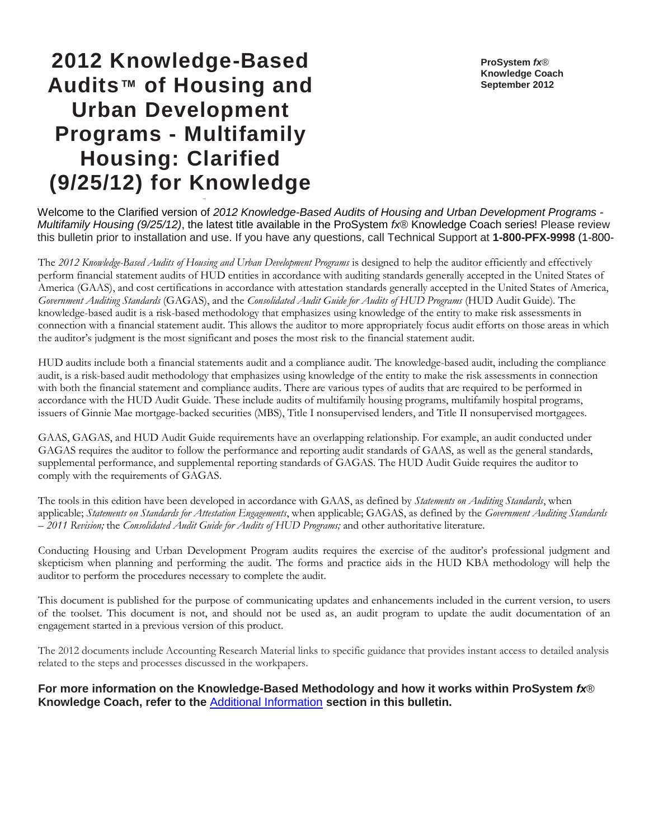**ProSystem** *fx*® **Knowledge Coach September 2012**

# **2012 Knowledge-Based Audits™ of Housing and Urban Development Programs - Multifamily Housing: Clarified (9/25/12) for Knowledge**

**Coach** Welcome to the Clarified version of *2012 Knowledge-Based Audits of Housing and Urban Development Programs - Multifamily Housing (9/25/12)*, the latest title available in the ProSystem *fx*® Knowledge Coach series! Please review this bulletin prior to installation and use. If you have any questions, call Technical Support at **1-800-PFX-9998** (1-800-

The *2012 Knowledge-Based Audits of Housing and Urban Development Programs* is designed to help the auditor efficiently and effectively perform financial statement audits of HUD entities in accordance with auditing standards generally accepted in the United States of America (GAAS), and cost certifications in accordance with attestation standards generally accepted in the United States of America, *Government Auditing Standards* (GAGAS), and the *Consolidated Audit Guide for Audits of HUD Programs* (HUD Audit Guide). The knowledge-based audit is a risk-based methodology that emphasizes using knowledge of the entity to make risk assessments in connection with a financial statement audit. This allows the auditor to more appropriately focus audit efforts on those areas in which the auditor's judgment is the most significant and poses the most risk to the financial statement audit.

HUD audits include both a financial statements audit and a compliance audit. The knowledge-based audit, including the compliance audit, is a risk-based audit methodology that emphasizes using knowledge of the entity to make the risk assessments in connection with both the financial statement and compliance audits. There are various types of audits that are required to be performed in accordance with the HUD Audit Guide. These include audits of multifamily housing programs, multifamily hospital programs, issuers of Ginnie Mae mortgage-backed securities (MBS), Title I nonsupervised lenders, and Title II nonsupervised mortgagees.

GAAS, GAGAS, and HUD Audit Guide requirements have an overlapping relationship. For example, an audit conducted under GAGAS requires the auditor to follow the performance and reporting audit standards of GAAS, as well as the general standards, supplemental performance, and supplemental reporting standards of GAGAS. The HUD Audit Guide requires the auditor to comply with the requirements of GAGAS.

The tools in this edition have been developed in accordance with GAAS, as defined by *Statements on Auditing Standards*, when applicable; *Statements on Standards for Attestation Engagements*, when applicable; GAGAS, as defined by the *Government Auditing Standards* – *2011 Revision;* the *Consolidated Audit Guide for Audits of HUD Programs;* and other authoritative literature.

Conducting Housing and Urban Development Program audits requires the exercise of the auditor's professional judgment and skepticism when planning and performing the audit. The forms and practice aids in the HUD KBA methodology will help the auditor to perform the procedures necessary to complete the audit.

This document is published for the purpose of communicating updates and enhancements included in the current version, to users of the toolset. This document is not, and should not be used as, an audit program to update the audit documentation of an engagement started in a previous version of this product.

The 2012 documents include Accounting Research Material links to specific guidance that provides instant access to detailed analysis related to the steps and processes discussed in the workpapers.

**For more information on the Knowledge-Based Methodology and how it works within ProSystem** *fx*® **Knowledge Coach, refer to the** [Additional Information](#page-2-0) **section in this bulletin.**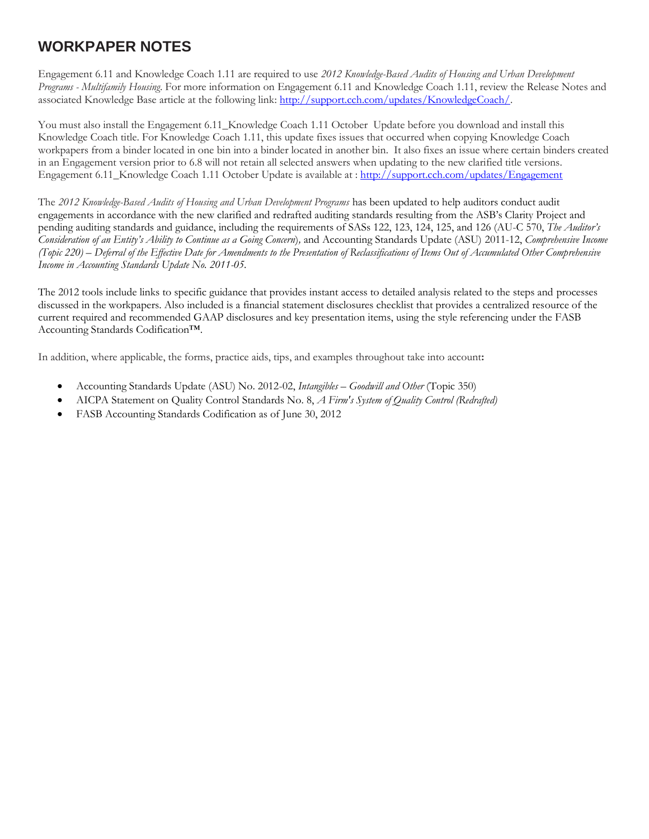# **WORKPAPER NOTES**

Engagement 6.11 and Knowledge Coach 1.11 are required to use *2012 Knowledge-Based Audits of Housing and Urban Development Programs - Multifamily Housing*. For more information on Engagement 6.11 and Knowledge Coach 1.11, review the Release Notes and associated Knowledge Base article at the following link: [http://support.cch.com/updates/KnowledgeCoach/.](http://support.cch.com/updates/KnowledgeCoach/)

You must also install the Engagement 6.11\_Knowledge Coach 1.11 October Update before you download and install this Knowledge Coach title. For Knowledge Coach 1.11, this update fixes issues that occurred when copying Knowledge Coach workpapers from a binder located in one bin into a binder located in another bin. It also fixes an issue where certain binders created in an Engagement version prior to 6.8 will not retain all selected answers when updating to the new clarified title versions. Engagement 6.11\_Knowledge Coach 1.11 October Update is available at :<http://support.cch.com/updates/Engagement>

The *2012 Knowledge-Based Audits of Housing and Urban Development Programs* has been updated to help auditors conduct audit engagements in accordance with the new clarified and redrafted auditing standards resulting from the ASB's Clarity Project and pending auditing standards and guidance, including the requirements of SASs 122, 123, 124, 125, and 126 (AU-C 570, *The Auditor's Consideration of an Entity's Ability to Continue as a Going Concern*)*,* and Accounting Standards Update (ASU) 2011-12, *Comprehensive Income (Topic 220)* – *Deferral of the Effective Date for Amendments to the Presentation of Reclassifications of Items Out of Accumulated Other Comprehensive Income in Accounting Standards Update No. 2011-05*.

The 2012 tools include links to specific guidance that provides instant access to detailed analysis related to the steps and processes discussed in the workpapers. Also included is a financial statement disclosures checklist that provides a centralized resource of the current required and recommended GAAP disclosures and key presentation items, using the style referencing under the FASB Accounting Standards Codification™.

In addition, where applicable, the forms, practice aids, tips, and examples throughout take into account**:**

- Accounting Standards Update (ASU) No. 2012-02, *Intangibles Goodwill and Other* (Topic 350)
- AICPA Statement on Quality Control Standards No. 8, *A Firm's System of Quality Control (Redrafted)*
- FASB Accounting Standards Codification as of June 30, 2012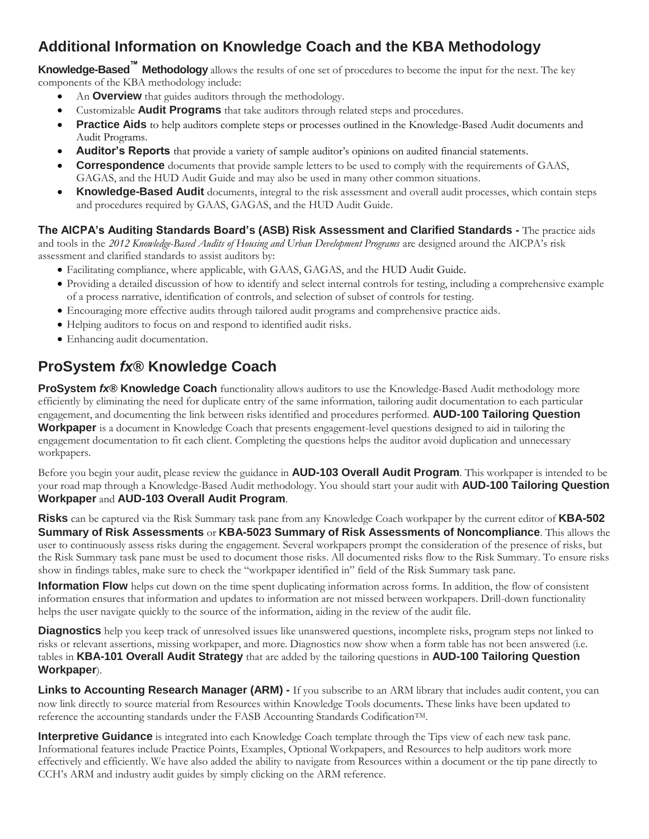# <span id="page-2-0"></span>**Additional Information on Knowledge Coach and the KBA Methodology**

**Knowledge-Based™ Methodology** allows the results of one set of procedures to become the input for the next. The key components of the KBA methodology include:

- An **Overview** that guides auditors through the methodology.
- Customizable **Audit Programs** that take auditors through related steps and procedures.
- **Practice Aids** to help auditors complete steps or processes outlined in the Knowledge-Based Audit documents and Audit Programs.
- **Auditor's Reports** that provide a variety of sample auditor's opinions on audited financial statements.
- **Correspondence** documents that provide sample letters to be used to comply with the requirements of GAAS, GAGAS, and the HUD Audit Guide and may also be used in many other common situations.
- **Knowledge-Based Audit** documents, integral to the risk assessment and overall audit processes, which contain steps and procedures required by GAAS, GAGAS, and the HUD Audit Guide.

**The AICPA's Auditing Standards Board's (ASB) Risk Assessment and Clarified Standards -** The practice aids and tools in the *2012 Knowledge-Based Audits of Housing and Urban Development Programs* are designed around the AICPA's risk

assessment and clarified standards to assist auditors by:

- Facilitating compliance, where applicable, with GAAS, GAGAS, and the HUD Audit Guide.
- Providing a detailed discussion of how to identify and select internal controls for testing, including a comprehensive example of a process narrative, identification of controls, and selection of subset of controls for testing.
- Encouraging more effective audits through tailored audit programs and comprehensive practice aids.
- Helping auditors to focus on and respond to identified audit risks.
- Enhancing audit documentation.

# **ProSystem** *fx***® Knowledge Coach**

**ProSystem** *fx***® Knowledge Coach** functionality allows auditors to use the Knowledge-Based Audit methodology more efficiently by eliminating the need for duplicate entry of the same information, tailoring audit documentation to each particular engagement, and documenting the link between risks identified and procedures performed. **AUD-100 Tailoring Question Workpaper** is a document in Knowledge Coach that presents engagement-level questions designed to aid in tailoring the engagement documentation to fit each client. Completing the questions helps the auditor avoid duplication and unnecessary workpapers.

Before you begin your audit, please review the guidance in **AUD-103 Overall Audit Program**. This workpaper is intended to be your road map through a Knowledge-Based Audit methodology. You should start your audit with **AUD-100 Tailoring Question Workpaper** and **AUD-103 Overall Audit Program**.

**Risks** can be captured via the Risk Summary task pane from any Knowledge Coach workpaper by the current editor of **KBA-502 Summary of Risk Assessments** or **KBA-5023 Summary of Risk Assessments of Noncompliance**. This allows the user to continuously assess risks during the engagement. Several workpapers prompt the consideration of the presence of risks, but the Risk Summary task pane must be used to document those risks. All documented risks flow to the Risk Summary. To ensure risks show in findings tables, make sure to check the "workpaper identified in" field of the Risk Summary task pane.

**Information Flow** helps cut down on the time spent duplicating information across forms. In addition, the flow of consistent information ensures that information and updates to information are not missed between workpapers. Drill-down functionality helps the user navigate quickly to the source of the information, aiding in the review of the audit file.

**Diagnostics** help you keep track of unresolved issues like unanswered questions, incomplete risks, program steps not linked to risks or relevant assertions, missing workpaper, and more. Diagnostics now show when a form table has not been answered (i.e. tables in **KBA-101 Overall Audit Strategy** that are added by the tailoring questions in **AUD-100 Tailoring Question Workpaper**).

**Links to Accounting Research Manager (ARM) -** If you subscribe to an ARM library that includes audit content, you can now link directly to source material from Resources within Knowledge Tools documents. These links have been updated to reference the accounting standards under the FASB Accounting Standards Codification<sup>TM</sup>.

**Interpretive Guidance** is integrated into each Knowledge Coach template through the Tips view of each new task pane. Informational features include Practice Points, Examples, Optional Workpapers, and Resources to help auditors work more effectively and efficiently. We have also added the ability to navigate from Resources within a document or the tip pane directly to CCH's ARM and industry audit guides by simply clicking on the ARM reference.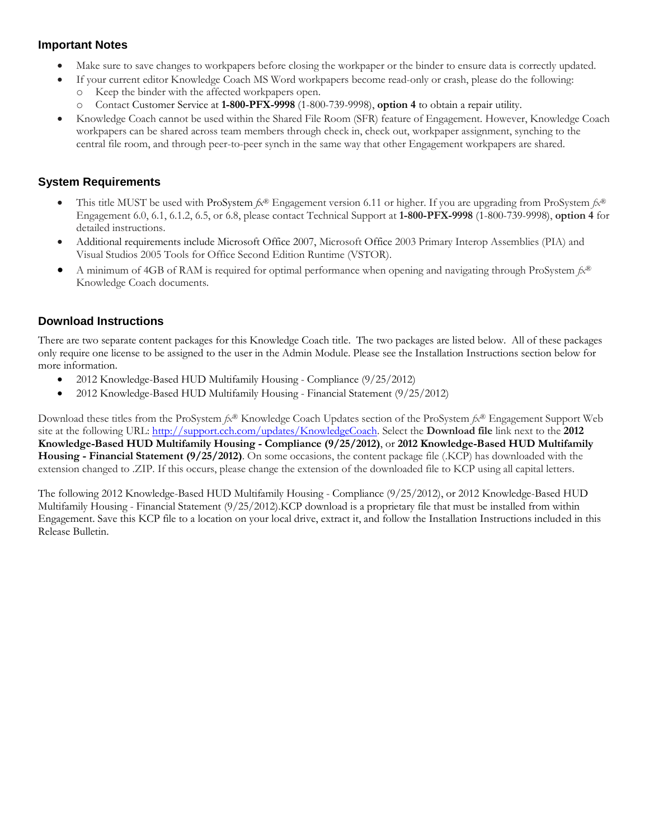#### **Important Notes**

- Make sure to save changes to workpapers before closing the workpaper or the binder to ensure data is correctly updated.
- If your current editor Knowledge Coach MS Word workpapers become read-only or crash, please do the following:
- Keep the binder with the affected workpapers open.
	- o Contact Customer Service at **1-800-PFX-9998** (1-800-739-9998), **option 4** to obtain a repair utility.
- Knowledge Coach cannot be used within the Shared File Room (SFR) feature of Engagement. However, Knowledge Coach workpapers can be shared across team members through check in, check out, workpaper assignment, synching to the central file room, and through peer-to-peer synch in the same way that other Engagement workpapers are shared.

### **System Requirements**

- This title MUST be used with ProSystem *fx*® Engagement version 6.11 or higher. If you are upgrading from ProSystem *fx*® Engagement 6.0, 6.1, 6.1.2, 6.5, or 6.8, please contact Technical Support at **1-800-PFX-9998** (1-800-739-9998), **option 4** for detailed instructions.
- Additional requirements include Microsoft Office 2007, Microsoft Office 2003 Primary Interop Assemblies (PIA) and Visual Studios 2005 Tools for Office Second Edition Runtime (VSTOR).
- A minimum of 4GB of RAM is required for optimal performance when opening and navigating through ProSystem *fx*® Knowledge Coach documents.

## **Download Instructions**

There are two separate content packages for this Knowledge Coach title. The two packages are listed below. All of these packages only require one license to be assigned to the user in the Admin Module. Please see the Installation Instructions section below for more information.

- 2012 Knowledge-Based HUD Multifamily Housing Compliance (9/25/2012)
- 2012 Knowledge-Based HUD Multifamily Housing Financial Statement (9/25/2012)

Download these titles from the ProSystem *fx*® Knowledge Coach Updates section of the ProSystem *fx*® Engagement Support Web site at the following URL[: http://support.cch.com/updates/KnowledgeCoach.](http://support.cch.com/updates/KnowledgeCoach) Select the **Download file** link next to the **2012 Knowledge-Based HUD Multifamily Housing - Compliance (9/25/2012)**, or **2012 Knowledge-Based HUD Multifamily Housing - Financial Statement (9/25/2012)**. On some occasions, the content package file (.KCP) has downloaded with the extension changed to .ZIP. If this occurs, please change the extension of the downloaded file to KCP using all capital letters.

The following 2012 Knowledge-Based HUD Multifamily Housing - Compliance (9/25/2012), or 2012 Knowledge-Based HUD Multifamily Housing - Financial Statement (9/25/2012).KCP download is a proprietary file that must be installed from within Engagement. Save this KCP file to a location on your local drive, extract it, and follow the Installation Instructions included in this Release Bulletin.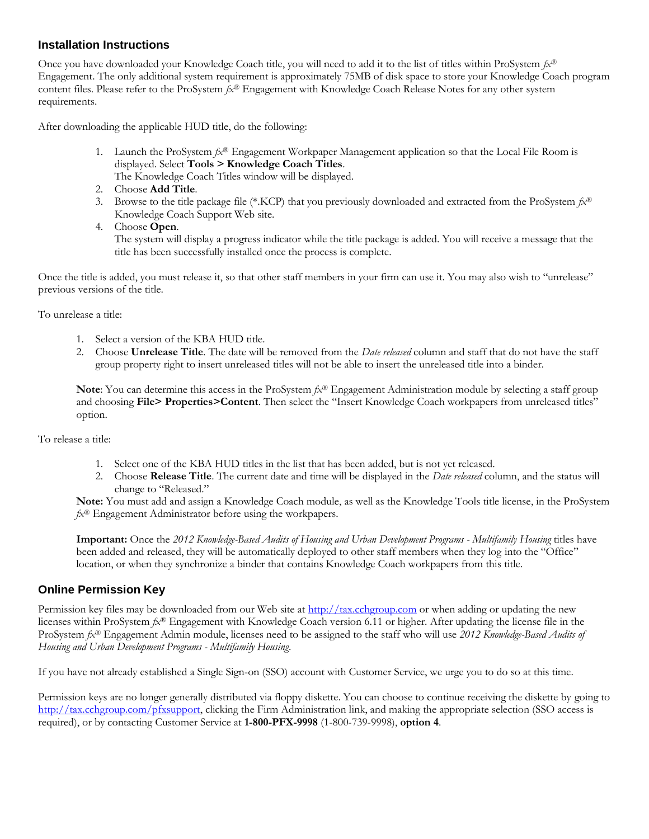#### **Installation Instructions**

Once you have downloaded your Knowledge Coach title, you will need to add it to the list of titles within ProSystem *fx*® Engagement. The only additional system requirement is approximately 75MB of disk space to store your Knowledge Coach program content files. Please refer to the ProSystem *fx*® Engagement with Knowledge Coach Release Notes for any other system requirements.

After downloading the applicable HUD title, do the following:

- 1. Launch the ProSystem *fx*® Engagement Workpaper Management application so that the Local File Room is displayed. Select **Tools > Knowledge Coach Titles**.
	- The Knowledge Coach Titles window will be displayed.
- 2. Choose **Add Title**.
- 3. Browse to the title package file (\*.KCP) that you previously downloaded and extracted from the ProSystem *fx*® Knowledge Coach Support Web site.
- 4. Choose **Open**.

The system will display a progress indicator while the title package is added. You will receive a message that the title has been successfully installed once the process is complete.

Once the title is added, you must release it, so that other staff members in your firm can use it. You may also wish to "unrelease" previous versions of the title.

To unrelease a title:

- 1. Select a version of the KBA HUD title.
- 2. Choose **Unrelease Title**. The date will be removed from the *Date released* column and staff that do not have the staff group property right to insert unreleased titles will not be able to insert the unreleased title into a binder.

**Note**: You can determine this access in the ProSystem *fx*® Engagement Administration module by selecting a staff group and choosing **File> Properties>Content**. Then select the "Insert Knowledge Coach workpapers from unreleased titles" option.

To release a title:

- 1. Select one of the KBA HUD titles in the list that has been added, but is not yet released.
- 2. Choose **Release Title**. The current date and time will be displayed in the *Date released* column, and the status will change to "Released."

**Note:** You must add and assign a Knowledge Coach module, as well as the Knowledge Tools title license, in the ProSystem *fx*® Engagement Administrator before using the workpapers.

**Important:** Once the *2012 Knowledge-Based Audits of Housing and Urban Development Programs - Multifamily Housing* titles have been added and released, they will be automatically deployed to other staff members when they log into the "Office" location, or when they synchronize a binder that contains Knowledge Coach workpapers from this title.

#### **Online Permission Key**

Permission key files may be downloaded from our Web site a[t http://tax.cchgroup.com](http://tax.cchgroup.com/) or when adding or updating the new licenses within ProSystem *fx*® Engagement with Knowledge Coach version 6.11 or higher. After updating the license file in the ProSystem *fx*® Engagement Admin module, licenses need to be assigned to the staff who will use *2012 Knowledge-Based Audits of Housing and Urban Development Programs - Multifamily Housing*.

If you have not already established a Single Sign-on (SSO) account with Customer Service, we urge you to do so at this time.

Permission keys are no longer generally distributed via floppy diskette. You can choose to continue receiving the diskette by going to [http://tax.cchgroup.com/pfxsupport,](http://tax.cchgroup.com/pfxsupport) clicking the Firm Administration link, and making the appropriate selection (SSO access is required), or by contacting Customer Service at **1-800-PFX-9998** (1-800-739-9998), **option 4**.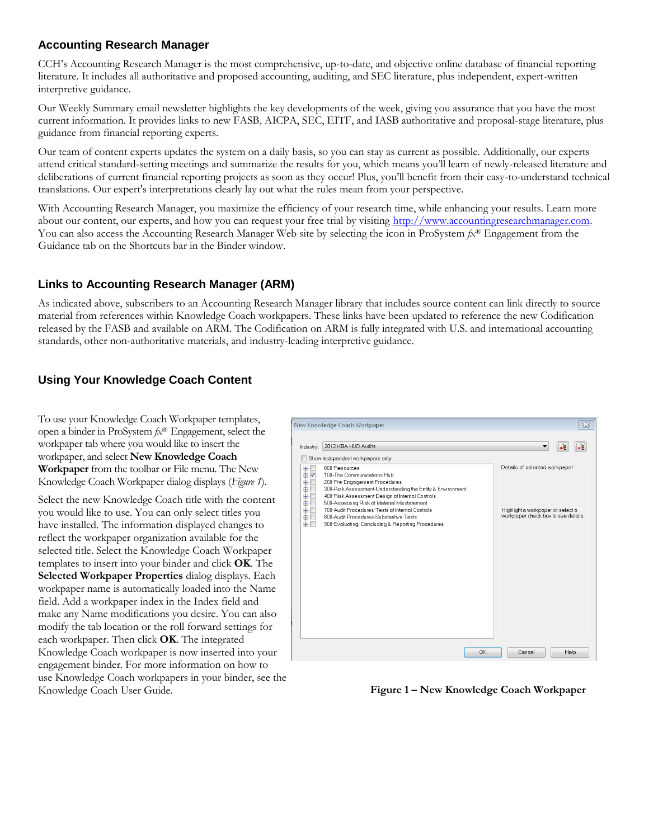## **Accounting Research Manager**

CCH's Accounting Research Manager is the most comprehensive, up-to-date, and objective online database of financial reporting literature. It includes all authoritative and proposed accounting, auditing, and SEC literature, plus independent, expert-written interpretive guidance.

Our Weekly Summary email newsletter highlights the key developments of the week, giving you assurance that you have the most current information. It provides links to new FASB, AICPA, SEC, EITF, and IASB authoritative and proposal-stage literature, plus guidance from financial reporting experts.

Our team of content experts updates the system on a daily basis, so you can stay as current as possible. Additionally, our experts attend critical standard-setting meetings and summarize the results for you, which means you'll learn of newly-released literature and deliberations of current financial reporting projects as soon as they occur! Plus, you'll benefit from their easy-to-understand technical translations. Our expert's interpretations clearly lay out what the rules mean from your perspective.

With Accounting Research Manager, you maximize the efficiency of your research time, while enhancing your results. Learn more about our content, our experts, and how you can request your free trial by visiting [http://www.accountingresearchmanager.com.](http://www.accountingresearchmanager.com/)  You can also access the Accounting Research Manager Web site by selecting the icon in ProSystem  $f_{\mathcal{X}}^{\otimes}$  Engagement from the Guidance tab on the Shortcuts bar in the Binder window.

## **Links to Accounting Research Manager (ARM)**

As indicated above, subscribers to an Accounting Research Manager library that includes source content can link directly to source material from references within Knowledge Coach workpapers. These links have been updated to reference the new Codification released by the FASB and available on ARM. The Codification on ARM is fully integrated with U.S. and international accounting standards, other non-authoritative materials, and industry-leading interpretive guidance.

# **Using Your Knowledge Coach Content**

To use your Knowledge Coach Workpaper templates, open a binder in ProSystem *fx*® Engagement, select the workpaper tab where you would like to insert the workpaper, and select **New Knowledge Coach Workpaper** from the toolbar or File menu. The New Knowledge Coach Workpaper dialog displays (*Figure 1*).

Select the new Knowledge Coach title with the content you would like to use. You can only select titles you have installed. The information displayed changes to reflect the workpaper organization available for the selected title. Select the Knowledge Coach Workpaper templates to insert into your binder and click **OK**. The **Selected Workpaper Properties** dialog displays. Each workpaper name is automatically loaded into the Name field. Add a workpaper index in the Index field and make any Name modifications you desire. You can also modify the tab location or the roll forward settings for each workpaper. Then click **OK**. The integrated Knowledge Coach workpaper is now inserted into your engagement binder. For more information on how to use Knowledge Coach workpapers in your binder, see the Knowledge Coach User Guide.



**Figure 1 – New Knowledge Coach Workpaper**